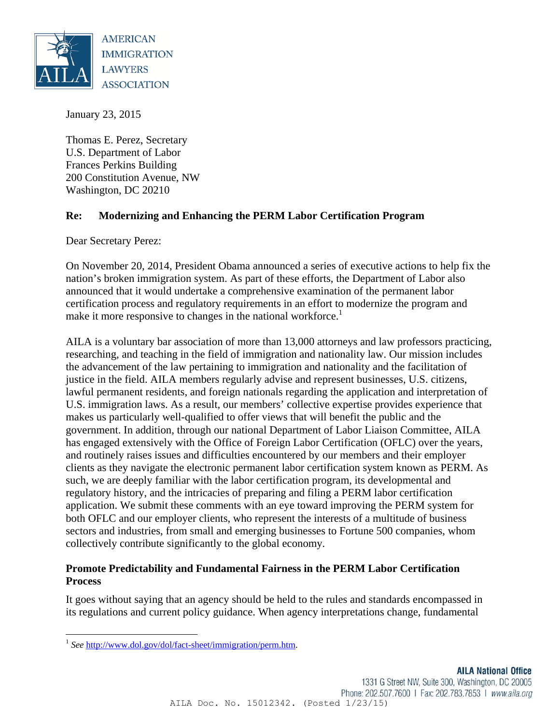

January 23, 2015

Thomas E. Perez, Secretary U.S. Department of Labor Frances Perkins Building 200 Constitution Avenue, NW Washington, DC 20210

# **Re: Modernizing and Enhancing the PERM Labor Certification Program**

Dear Secretary Perez:

On November 20, 2014, President Obama announced a series of executive actions to help fix the nation's broken immigration system. As part of these efforts, the Department of Labor also announced that it would undertake a comprehensive examination of the permanent labor certification process and regulatory requirements in an effort to modernize the program and make it more responsive to changes in the national workforce.<sup>1</sup>

AILA is a voluntary bar association of more than 13,000 attorneys and law professors practicing, researching, and teaching in the field of immigration and nationality law. Our mission includes the advancement of the law pertaining to immigration and nationality and the facilitation of justice in the field. AILA members regularly advise and represent businesses, U.S. citizens, lawful permanent residents, and foreign nationals regarding the application and interpretation of U.S. immigration laws. As a result, our members' collective expertise provides experience that makes us particularly well-qualified to offer views that will benefit the public and the government. In addition, through our national Department of Labor Liaison Committee, AILA has engaged extensively with the Office of Foreign Labor Certification (OFLC) over the years, and routinely raises issues and difficulties encountered by our members and their employer clients as they navigate the electronic permanent labor certification system known as PERM. As such, we are deeply familiar with the labor certification program, its developmental and regulatory history, and the intricacies of preparing and filing a PERM labor certification application. We submit these comments with an eye toward improving the PERM system for both OFLC and our employer clients, who represent the interests of a multitude of business sectors and industries, from small and emerging businesses to Fortune 500 companies, whom collectively contribute significantly to the global economy.

# **Promote Predictability and Fundamental Fairness in the PERM Labor Certification Process**

It goes without saying that an agency should be held to the rules and standards encompassed in its regulations and current policy guidance. When agency interpretations change, fundamental

<sup>&</sup>lt;sup>1</sup> See http://www.dol.gov/dol/fact-sheet/immigration/perm.htm.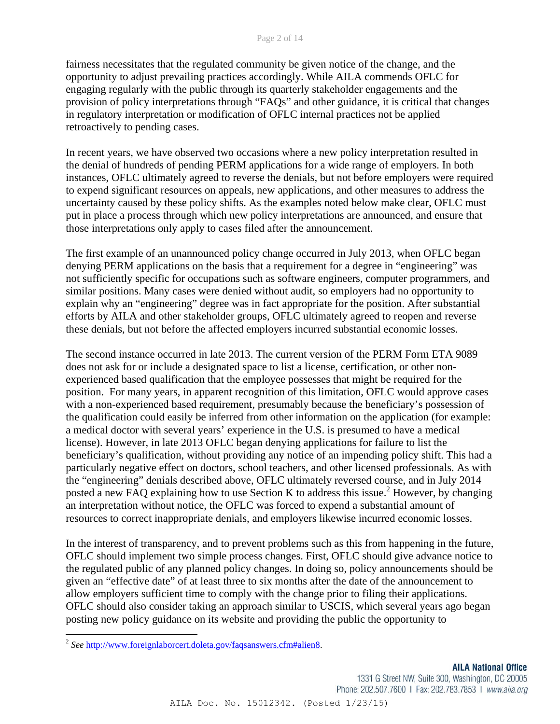fairness necessitates that the regulated community be given notice of the change, and the opportunity to adjust prevailing practices accordingly. While AILA commends OFLC for engaging regularly with the public through its quarterly stakeholder engagements and the provision of policy interpretations through "FAQs" and other guidance, it is critical that changes in regulatory interpretation or modification of OFLC internal practices not be applied retroactively to pending cases.

In recent years, we have observed two occasions where a new policy interpretation resulted in the denial of hundreds of pending PERM applications for a wide range of employers. In both instances, OFLC ultimately agreed to reverse the denials, but not before employers were required to expend significant resources on appeals, new applications, and other measures to address the uncertainty caused by these policy shifts. As the examples noted below make clear, OFLC must put in place a process through which new policy interpretations are announced, and ensure that those interpretations only apply to cases filed after the announcement.

The first example of an unannounced policy change occurred in July 2013, when OFLC began denying PERM applications on the basis that a requirement for a degree in "engineering" was not sufficiently specific for occupations such as software engineers, computer programmers, and similar positions. Many cases were denied without audit, so employers had no opportunity to explain why an "engineering" degree was in fact appropriate for the position. After substantial efforts by AILA and other stakeholder groups, OFLC ultimately agreed to reopen and reverse these denials, but not before the affected employers incurred substantial economic losses.

The second instance occurred in late 2013. The current version of the PERM Form ETA 9089 does not ask for or include a designated space to list a license, certification, or other nonexperienced based qualification that the employee possesses that might be required for the position. For many years, in apparent recognition of this limitation, OFLC would approve cases with a non-experienced based requirement, presumably because the beneficiary's possession of the qualification could easily be inferred from other information on the application (for example: a medical doctor with several years' experience in the U.S. is presumed to have a medical license). However, in late 2013 OFLC began denying applications for failure to list the beneficiary's qualification, without providing any notice of an impending policy shift. This had a particularly negative effect on doctors, school teachers, and other licensed professionals. As with the "engineering" denials described above, OFLC ultimately reversed course, and in July 2014 posted a new FAQ explaining how to use Section K to address this issue.<sup>2</sup> However, by changing an interpretation without notice, the OFLC was forced to expend a substantial amount of resources to correct inappropriate denials, and employers likewise incurred economic losses.

In the interest of transparency, and to prevent problems such as this from happening in the future, OFLC should implement two simple process changes. First, OFLC should give advance notice to the regulated public of any planned policy changes. In doing so, policy announcements should be given an "effective date" of at least three to six months after the date of the announcement to allow employers sufficient time to comply with the change prior to filing their applications. OFLC should also consider taking an approach similar to USCIS, which several years ago began posting new policy guidance on its website and providing the public the opportunity to

1331 G Street NW, Suite 300, Washington, DC 20005 Phone: 202.507.7600 | Fax: 202.783.7853 | www.aila.org

AILA Doc. No. 15012342. (Posted 1/23/15)

<sup>2</sup> *See* http://www.foreignlaborcert.doleta.gov/faqsanswers.cfm#alien8.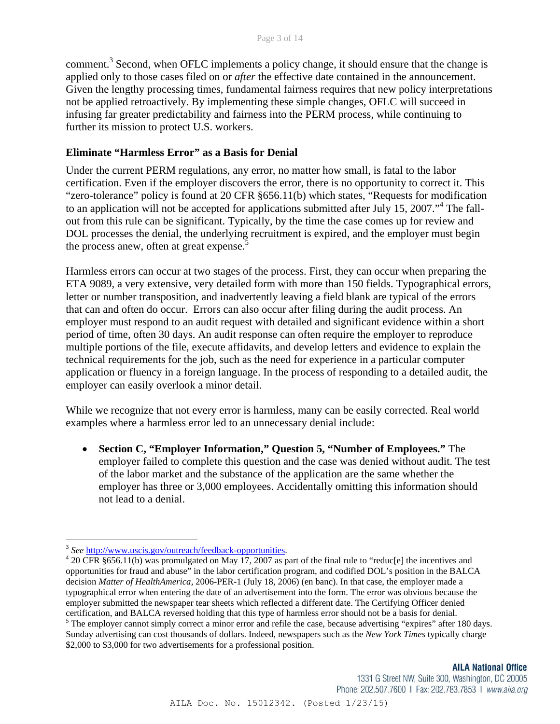comment.<sup>3</sup> Second, when OFLC implements a policy change, it should ensure that the change is applied only to those cases filed on or *after* the effective date contained in the announcement. Given the lengthy processing times, fundamental fairness requires that new policy interpretations not be applied retroactively. By implementing these simple changes, OFLC will succeed in infusing far greater predictability and fairness into the PERM process, while continuing to further its mission to protect U.S. workers.

# **Eliminate "Harmless Error" as a Basis for Denial**

Under the current PERM regulations, any error, no matter how small, is fatal to the labor certification. Even if the employer discovers the error, there is no opportunity to correct it. This "zero-tolerance" policy is found at 20 CFR §656.11(b) which states, "Requests for modification to an application will not be accepted for applications submitted after July 15, 2007."<sup>4</sup> The fallout from this rule can be significant. Typically, by the time the case comes up for review and DOL processes the denial, the underlying recruitment is expired, and the employer must begin the process anew, often at great expense.<sup>5</sup>

Harmless errors can occur at two stages of the process. First, they can occur when preparing the ETA 9089, a very extensive, very detailed form with more than 150 fields. Typographical errors, letter or number transposition, and inadvertently leaving a field blank are typical of the errors that can and often do occur. Errors can also occur after filing during the audit process. An employer must respond to an audit request with detailed and significant evidence within a short period of time, often 30 days. An audit response can often require the employer to reproduce multiple portions of the file, execute affidavits, and develop letters and evidence to explain the technical requirements for the job, such as the need for experience in a particular computer application or fluency in a foreign language. In the process of responding to a detailed audit, the employer can easily overlook a minor detail.

While we recognize that not every error is harmless, many can be easily corrected. Real world examples where a harmless error led to an unnecessary denial include:

 **Section C, "Employer Information," Question 5, "Number of Employees."** The employer failed to complete this question and the case was denied without audit. The test of the labor market and the substance of the application are the same whether the employer has three or 3,000 employees. Accidentally omitting this information should not lead to a denial.

#### **AILA National Office**

1331 G Street NW, Suite 300, Washington, DC 20005 Phone: 202.507.7600 | Fax: 202.783.7853 | www.aila.org

<sup>3</sup> *See* http://www.uscis.gov/outreach/feedback-opportunities. 4

 $^4$  20 CFR §656.11(b) was promulgated on May 17, 2007 as part of the final rule to "reduc[e] the incentives and opportunities for fraud and abuse" in the labor certification program, and codified DOL's position in the BALCA decision *Matter of HealthAmerica*, 2006-PER-1 (July 18, 2006) (en banc). In that case, the employer made a typographical error when entering the date of an advertisement into the form. The error was obvious because the employer submitted the newspaper tear sheets which reflected a different date. The Certifying Officer denied certification, and BALCA reversed holding that this type of harmless error should not be a basis for denial.

<sup>&</sup>lt;sup>5</sup> The employer cannot simply correct a minor error and refile the case, because advertising "expires" after 180 days. Sunday advertising can cost thousands of dollars. Indeed, newspapers such as the *New York Times* typically charge \$2,000 to \$3,000 for two advertisements for a professional position.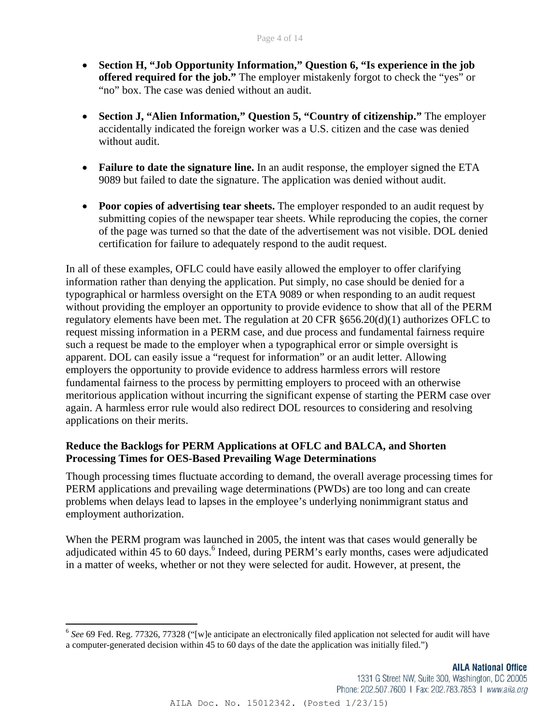- **Section H, "Job Opportunity Information," Question 6, "Is experience in the job offered required for the job."** The employer mistakenly forgot to check the "yes" or "no" box. The case was denied without an audit.
- **Section J, "Alien Information," Question 5, "Country of citizenship."** The employer accidentally indicated the foreign worker was a U.S. citizen and the case was denied without audit.
- **Failure to date the signature line.** In an audit response, the employer signed the ETA 9089 but failed to date the signature. The application was denied without audit.
- Poor copies of advertising tear sheets. The employer responded to an audit request by submitting copies of the newspaper tear sheets. While reproducing the copies, the corner of the page was turned so that the date of the advertisement was not visible. DOL denied certification for failure to adequately respond to the audit request.

In all of these examples, OFLC could have easily allowed the employer to offer clarifying information rather than denying the application. Put simply, no case should be denied for a typographical or harmless oversight on the ETA 9089 or when responding to an audit request without providing the employer an opportunity to provide evidence to show that all of the PERM regulatory elements have been met. The regulation at 20 CFR §656.20(d)(1) authorizes OFLC to request missing information in a PERM case, and due process and fundamental fairness require such a request be made to the employer when a typographical error or simple oversight is apparent. DOL can easily issue a "request for information" or an audit letter. Allowing employers the opportunity to provide evidence to address harmless errors will restore fundamental fairness to the process by permitting employers to proceed with an otherwise meritorious application without incurring the significant expense of starting the PERM case over again. A harmless error rule would also redirect DOL resources to considering and resolving applications on their merits.

# **Reduce the Backlogs for PERM Applications at OFLC and BALCA, and Shorten Processing Times for OES-Based Prevailing Wage Determinations**

Though processing times fluctuate according to demand, the overall average processing times for PERM applications and prevailing wage determinations (PWDs) are too long and can create problems when delays lead to lapses in the employee's underlying nonimmigrant status and employment authorization.

When the PERM program was launched in 2005, the intent was that cases would generally be adjudicated within 45 to 60 days.<sup>6</sup> Indeed, during PERM's early months, cases were adjudicated in a matter of weeks, whether or not they were selected for audit. However, at present, the

<sup>&</sup>lt;sup>6</sup> See 69 Fed. Reg. 77326, 77328 ("[w]e anticipate an electronically filed application not selected for audit will have a computer-generated decision within 45 to 60 days of the date the application was initially filed.")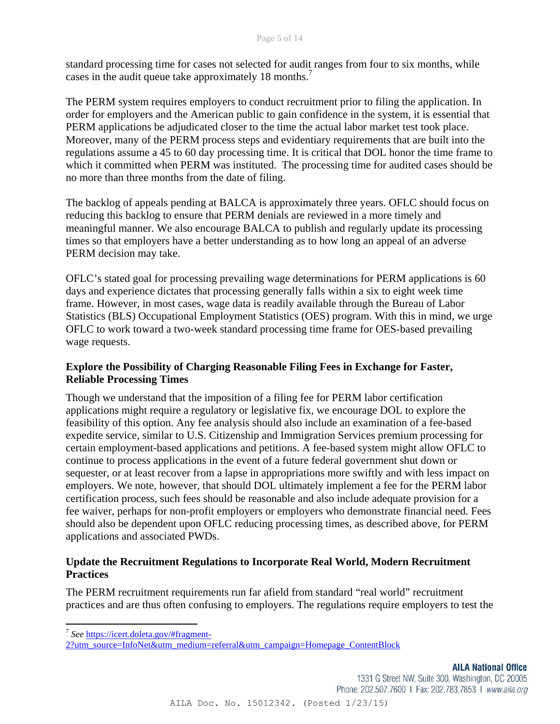standard processing time for cases not selected for audit ranges from four to six months, while cases in the audit queue take approximately 18 months.<sup>7</sup>

The PERM system requires employers to conduct recruitment prior to filing the application. In order for employers and the American public to gain confidence in the system, it is essential that PERM applications be adjudicated closer to the time the actual labor market test took place. Moreover, many of the PERM process steps and evidentiary requirements that are built into the regulations assume a 45 to 60 day processing time. It is critical that DOL honor the time frame to which it committed when PERM was instituted. The processing time for audited cases should be no more than three months from the date of filing.

The backlog of appeals pending at BALCA is approximately three years. OFLC should focus on reducing this backlog to ensure that PERM denials are reviewed in a more timely and meaningful manner. We also encourage BALCA to publish and regularly update its processing times so that employers have a better understanding as to how long an appeal of an adverse PERM decision may take.

OFLC's stated goal for processing prevailing wage determinations for PERM applications is 60 days and experience dictates that processing generally falls within a six to eight week time frame. However, in most cases, wage data is readily available through the Bureau of Labor Statistics (BLS) Occupational Employment Statistics (OES) program. With this in mind, we urge OFLC to work toward a two-week standard processing time frame for OES-based prevailing wage requests.

# **Explore the Possibility of Charging Reasonable Filing Fees in Exchange for Faster, Reliable Processing Times**

Though we understand that the imposition of a filing fee for PERM labor certification applications might require a regulatory or legislative fix, we encourage DOL to explore the feasibility of this option. Any fee analysis should also include an examination of a fee-based expedite service, similar to U.S. Citizenship and Immigration Services premium processing for certain employment-based applications and petitions. A fee-based system might allow OFLC to continue to process applications in the event of a future federal government shut down or sequester, or at least recover from a lapse in appropriations more swiftly and with less impact on employers. We note, however, that should DOL ultimately implement a fee for the PERM labor certification process, such fees should be reasonable and also include adequate provision for a fee waiver, perhaps for non-profit employers or employers who demonstrate financial need. Fees should also be dependent upon OFLC reducing processing times, as described above, for PERM applications and associated PWDs.

# **Update the Recruitment Regulations to Incorporate Real World, Modern Recruitment Practices**

The PERM recruitment requirements run far afield from standard "real world" recruitment practices and are thus often confusing to employers. The regulations require employers to test the

 <sup>7</sup> *See* https://icert.doleta.gov/#fragment-

<sup>2?</sup>utm\_source=InfoNet&utm\_medium=referral&utm\_campaign=Homepage\_ContentBlock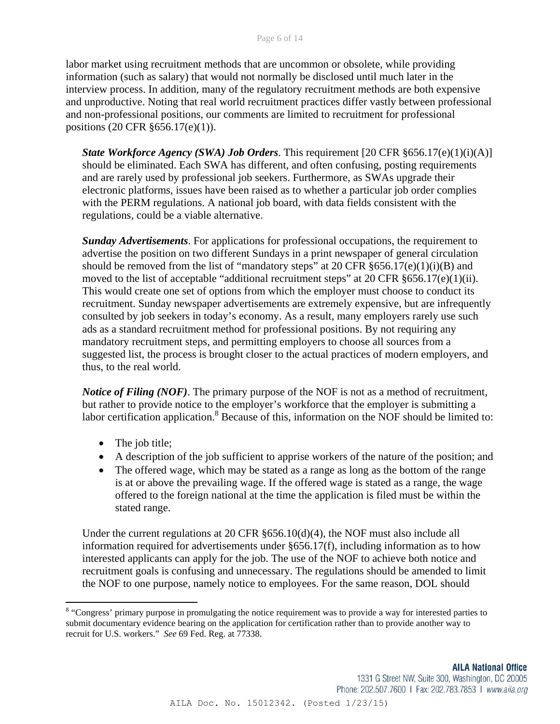labor market using recruitment methods that are uncommon or obsolete, while providing information (such as salary) that would not normally be disclosed until much later in the interview process. In addition, many of the regulatory recruitment methods are both expensive and unproductive. Noting that real world recruitment practices differ vastly between professional and non-professional positions, our comments are limited to recruitment for professional positions (20 CFR §656.17(e)(1)).

*State Workforce Agency (SWA) Job Orders*. This requirement [20 CFR §656.17(e)(1)(i)(A)] should be eliminated. Each SWA has different, and often confusing, posting requirements and are rarely used by professional job seekers. Furthermore, as SWAs upgrade their electronic platforms, issues have been raised as to whether a particular job order complies with the PERM regulations. A national job board, with data fields consistent with the regulations, could be a viable alternative.

*Sunday Advertisements*. For applications for professional occupations, the requirement to advertise the position on two different Sundays in a print newspaper of general circulation should be removed from the list of "mandatory steps" at 20 CFR  $\S 656.17(e)(1)(i)(B)$  and moved to the list of acceptable "additional recruitment steps" at 20 CFR §656.17(e)(1)(ii). This would create one set of options from which the employer must choose to conduct its recruitment. Sunday newspaper advertisements are extremely expensive, but are infrequently consulted by job seekers in today's economy. As a result, many employers rarely use such ads as a standard recruitment method for professional positions. By not requiring any mandatory recruitment steps, and permitting employers to choose all sources from a suggested list, the process is brought closer to the actual practices of modern employers, and thus, to the real world.

*Notice of Filing (NOF)*. The primary purpose of the NOF is not as a method of recruitment, but rather to provide notice to the employer's workforce that the employer is submitting a labor certification application.<sup>8</sup> Because of this, information on the NOF should be limited to:

• The job title;

- A description of the job sufficient to apprise workers of the nature of the position; and
- The offered wage, which may be stated as a range as long as the bottom of the range is at or above the prevailing wage. If the offered wage is stated as a range, the wage offered to the foreign national at the time the application is filed must be within the stated range.

Under the current regulations at 20 CFR  $§656.10(d)(4)$ , the NOF must also include all information required for advertisements under §656.17(f), including information as to how interested applicants can apply for the job. The use of the NOF to achieve both notice and recruitment goals is confusing and unnecessary. The regulations should be amended to limit the NOF to one purpose, namely notice to employees. For the same reason, DOL should

<sup>&</sup>lt;sup>8</sup> "Congress' primary purpose in promulgating the notice requirement was to provide a way for interested parties to submit documentary evidence bearing on the application for certification rather than to provide another way to recruit for U.S. workers." *See* 69 Fed. Reg. at 77338.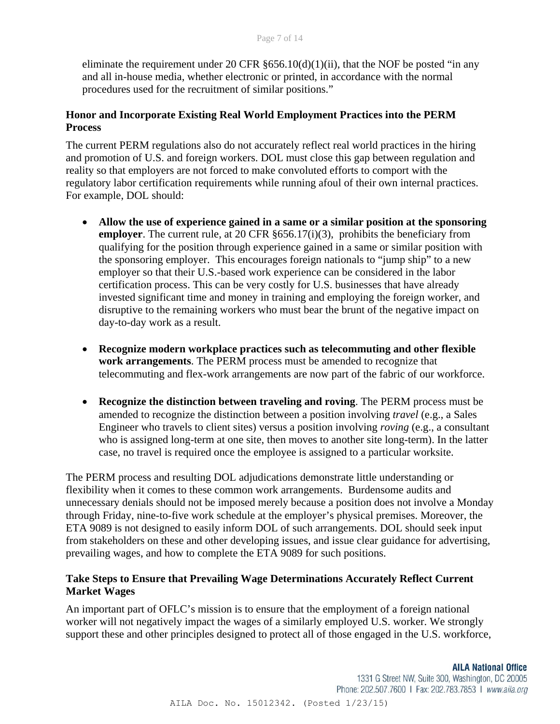eliminate the requirement under 20 CFR  $\S 656.10(d)(1)(ii)$ , that the NOF be posted "in any and all in-house media, whether electronic or printed, in accordance with the normal procedures used for the recruitment of similar positions."

# **Honor and Incorporate Existing Real World Employment Practices into the PERM Process**

The current PERM regulations also do not accurately reflect real world practices in the hiring and promotion of U.S. and foreign workers. DOL must close this gap between regulation and reality so that employers are not forced to make convoluted efforts to comport with the regulatory labor certification requirements while running afoul of their own internal practices. For example, DOL should:

- **Allow the use of experience gained in a same or a similar position at the sponsoring employer**. The current rule, at 20 CFR §656.17(i)(3), prohibits the beneficiary from qualifying for the position through experience gained in a same or similar position with the sponsoring employer. This encourages foreign nationals to "jump ship" to a new employer so that their U.S.-based work experience can be considered in the labor certification process. This can be very costly for U.S. businesses that have already invested significant time and money in training and employing the foreign worker, and disruptive to the remaining workers who must bear the brunt of the negative impact on day-to-day work as a result.
- **Recognize modern workplace practices such as telecommuting and other flexible work arrangements**. The PERM process must be amended to recognize that telecommuting and flex-work arrangements are now part of the fabric of our workforce.
- **Recognize the distinction between traveling and roving**. The PERM process must be amended to recognize the distinction between a position involving *travel* (e.g., a Sales Engineer who travels to client sites) versus a position involving *roving* (e.g., a consultant who is assigned long-term at one site, then moves to another site long-term). In the latter case, no travel is required once the employee is assigned to a particular worksite.

The PERM process and resulting DOL adjudications demonstrate little understanding or flexibility when it comes to these common work arrangements. Burdensome audits and unnecessary denials should not be imposed merely because a position does not involve a Monday through Friday, nine-to-five work schedule at the employer's physical premises. Moreover, the ETA 9089 is not designed to easily inform DOL of such arrangements. DOL should seek input from stakeholders on these and other developing issues, and issue clear guidance for advertising, prevailing wages, and how to complete the ETA 9089 for such positions.

# **Take Steps to Ensure that Prevailing Wage Determinations Accurately Reflect Current Market Wages**

An important part of OFLC's mission is to ensure that the employment of a foreign national worker will not negatively impact the wages of a similarly employed U.S. worker. We strongly support these and other principles designed to protect all of those engaged in the U.S. workforce,

**AILA National Office**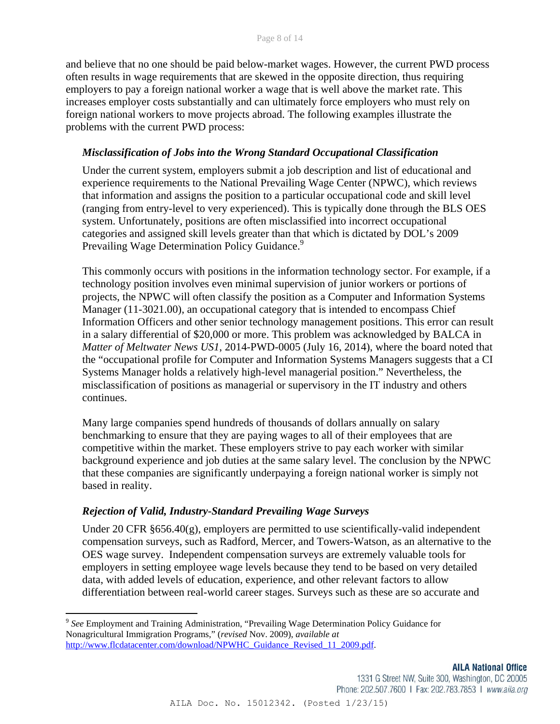and believe that no one should be paid below-market wages. However, the current PWD process often results in wage requirements that are skewed in the opposite direction, thus requiring employers to pay a foreign national worker a wage that is well above the market rate. This increases employer costs substantially and can ultimately force employers who must rely on foreign national workers to move projects abroad. The following examples illustrate the problems with the current PWD process:

### *Misclassification of Jobs into the Wrong Standard Occupational Classification*

Under the current system, employers submit a job description and list of educational and experience requirements to the National Prevailing Wage Center (NPWC), which reviews that information and assigns the position to a particular occupational code and skill level (ranging from entry-level to very experienced). This is typically done through the BLS OES system. Unfortunately, positions are often misclassified into incorrect occupational categories and assigned skill levels greater than that which is dictated by DOL's 2009 Prevailing Wage Determination Policy Guidance.<sup>9</sup>

This commonly occurs with positions in the information technology sector. For example, if a technology position involves even minimal supervision of junior workers or portions of projects, the NPWC will often classify the position as a Computer and Information Systems Manager (11-3021.00), an occupational category that is intended to encompass Chief Information Officers and other senior technology management positions. This error can result in a salary differential of \$20,000 or more. This problem was acknowledged by BALCA in *Matter of Meltwater News US1*, 2014-PWD-0005 (July 16, 2014), where the board noted that the "occupational profile for Computer and Information Systems Managers suggests that a CI Systems Manager holds a relatively high-level managerial position." Nevertheless, the misclassification of positions as managerial or supervisory in the IT industry and others continues.

Many large companies spend hundreds of thousands of dollars annually on salary benchmarking to ensure that they are paying wages to all of their employees that are competitive within the market. These employers strive to pay each worker with similar background experience and job duties at the same salary level. The conclusion by the NPWC that these companies are significantly underpaying a foreign national worker is simply not based in reality.

### *Rejection of Valid, Industry-Standard Prevailing Wage Surveys*

Under 20 CFR §656.40(g), employers are permitted to use scientifically-valid independent compensation surveys, such as Radford, Mercer, and Towers-Watson, as an alternative to the OES wage survey. Independent compensation surveys are extremely valuable tools for employers in setting employee wage levels because they tend to be based on very detailed data, with added levels of education, experience, and other relevant factors to allow differentiation between real-world career stages. Surveys such as these are so accurate and

<sup>9</sup> *See* Employment and Training Administration, "Prevailing Wage Determination Policy Guidance for Nonagricultural Immigration Programs," (*revised* Nov. 2009), *available at*  http://www.flcdatacenter.com/download/NPWHC\_Guidance\_Revised\_11\_2009.pdf.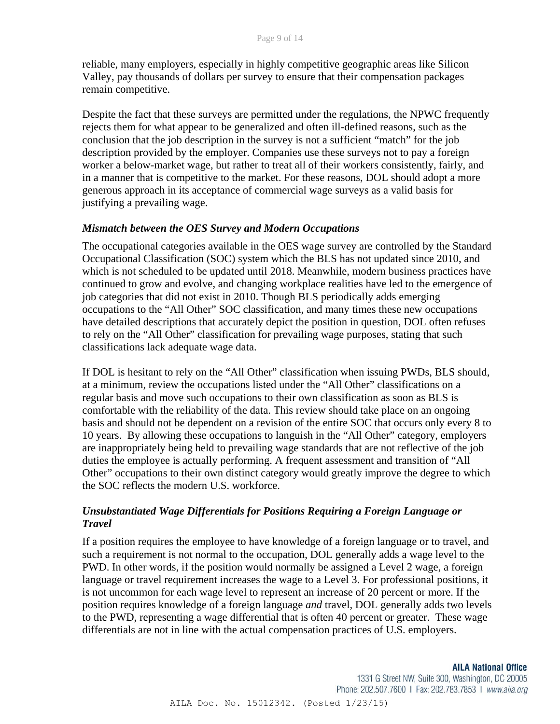reliable, many employers, especially in highly competitive geographic areas like Silicon Valley, pay thousands of dollars per survey to ensure that their compensation packages remain competitive.

Despite the fact that these surveys are permitted under the regulations, the NPWC frequently rejects them for what appear to be generalized and often ill-defined reasons, such as the conclusion that the job description in the survey is not a sufficient "match" for the job description provided by the employer. Companies use these surveys not to pay a foreign worker a below-market wage, but rather to treat all of their workers consistently, fairly, and in a manner that is competitive to the market. For these reasons, DOL should adopt a more generous approach in its acceptance of commercial wage surveys as a valid basis for justifying a prevailing wage.

### *Mismatch between the OES Survey and Modern Occupations*

The occupational categories available in the OES wage survey are controlled by the Standard Occupational Classification (SOC) system which the BLS has not updated since 2010, and which is not scheduled to be updated until 2018. Meanwhile, modern business practices have continued to grow and evolve, and changing workplace realities have led to the emergence of job categories that did not exist in 2010. Though BLS periodically adds emerging occupations to the "All Other" SOC classification, and many times these new occupations have detailed descriptions that accurately depict the position in question, DOL often refuses to rely on the "All Other" classification for prevailing wage purposes, stating that such classifications lack adequate wage data.

If DOL is hesitant to rely on the "All Other" classification when issuing PWDs, BLS should, at a minimum, review the occupations listed under the "All Other" classifications on a regular basis and move such occupations to their own classification as soon as BLS is comfortable with the reliability of the data. This review should take place on an ongoing basis and should not be dependent on a revision of the entire SOC that occurs only every 8 to 10 years. By allowing these occupations to languish in the "All Other" category, employers are inappropriately being held to prevailing wage standards that are not reflective of the job duties the employee is actually performing. A frequent assessment and transition of "All Other" occupations to their own distinct category would greatly improve the degree to which the SOC reflects the modern U.S. workforce.

# *Unsubstantiated Wage Differentials for Positions Requiring a Foreign Language or Travel*

If a position requires the employee to have knowledge of a foreign language or to travel, and such a requirement is not normal to the occupation, DOL generally adds a wage level to the PWD. In other words, if the position would normally be assigned a Level 2 wage, a foreign language or travel requirement increases the wage to a Level 3. For professional positions, it is not uncommon for each wage level to represent an increase of 20 percent or more. If the position requires knowledge of a foreign language *and* travel, DOL generally adds two levels to the PWD, representing a wage differential that is often 40 percent or greater. These wage differentials are not in line with the actual compensation practices of U.S. employers.

1331 G Street NW, Suite 300, Washington, DC 20005 Phone: 202.507.7600 | Fax: 202.783.7853 | www.aila.org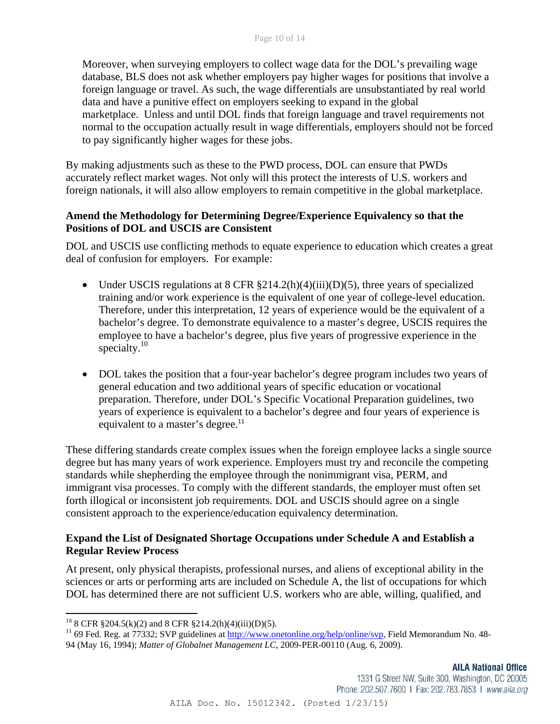Moreover, when surveying employers to collect wage data for the DOL's prevailing wage database, BLS does not ask whether employers pay higher wages for positions that involve a foreign language or travel. As such, the wage differentials are unsubstantiated by real world data and have a punitive effect on employers seeking to expand in the global marketplace. Unless and until DOL finds that foreign language and travel requirements not normal to the occupation actually result in wage differentials, employers should not be forced to pay significantly higher wages for these jobs.

By making adjustments such as these to the PWD process, DOL can ensure that PWDs accurately reflect market wages. Not only will this protect the interests of U.S. workers and foreign nationals, it will also allow employers to remain competitive in the global marketplace.

# **Amend the Methodology for Determining Degree/Experience Equivalency so that the Positions of DOL and USCIS are Consistent**

DOL and USCIS use conflicting methods to equate experience to education which creates a great deal of confusion for employers. For example:

- Under USCIS regulations at 8 CFR  $\S214.2(h)(4)(iii)(D)(5)$ , three years of specialized training and/or work experience is the equivalent of one year of college-level education. Therefore, under this interpretation, 12 years of experience would be the equivalent of a bachelor's degree. To demonstrate equivalence to a master's degree, USCIS requires the employee to have a bachelor's degree, plus five years of progressive experience in the specialty.<sup>10</sup>
- DOL takes the position that a four-year bachelor's degree program includes two years of general education and two additional years of specific education or vocational preparation. Therefore, under DOL's Specific Vocational Preparation guidelines, two years of experience is equivalent to a bachelor's degree and four years of experience is equivalent to a master's degree.<sup>11</sup>

These differing standards create complex issues when the foreign employee lacks a single source degree but has many years of work experience. Employers must try and reconcile the competing standards while shepherding the employee through the nonimmigrant visa, PERM, and immigrant visa processes. To comply with the different standards, the employer must often set forth illogical or inconsistent job requirements. DOL and USCIS should agree on a single consistent approach to the experience/education equivalency determination.

# **Expand the List of Designated Shortage Occupations under Schedule A and Establish a Regular Review Process**

At present, only physical therapists, professional nurses, and aliens of exceptional ability in the sciences or arts or performing arts are included on Schedule A, the list of occupations for which DOL has determined there are not sufficient U.S. workers who are able, willing, qualified, and

<sup>&</sup>lt;sup>10</sup> 8 CFR  $$204.5(k)(2)$  and 8 CFR  $$214.2(h)(4)(iii)(D)(5)$ .

 $11$  69 Fed. Reg. at 77332; SVP guidelines at http://www.onetonline.org/help/online/svp, Field Memorandum No. 48-94 (May 16, 1994); *Matter of Globalnet Management LC,* 2009-PER-00110 (Aug. 6, 2009).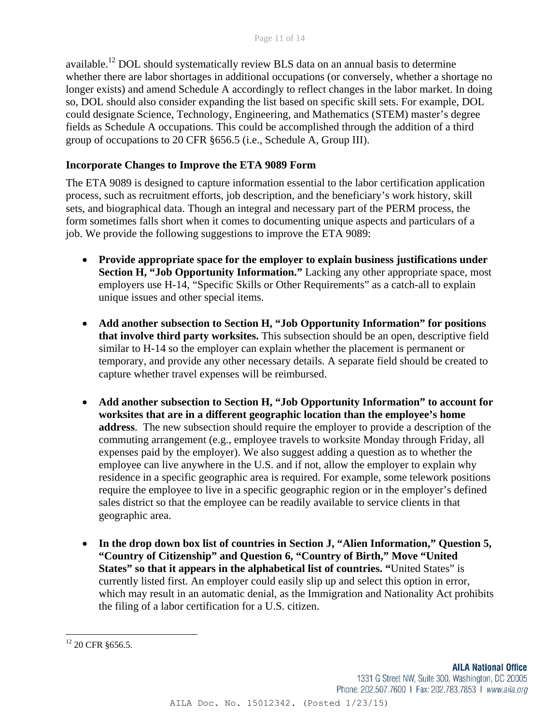available.12 DOL should systematically review BLS data on an annual basis to determine whether there are labor shortages in additional occupations (or conversely, whether a shortage no longer exists) and amend Schedule A accordingly to reflect changes in the labor market. In doing so, DOL should also consider expanding the list based on specific skill sets. For example, DOL could designate Science, Technology, Engineering, and Mathematics (STEM) master's degree fields as Schedule A occupations. This could be accomplished through the addition of a third group of occupations to 20 CFR §656.5 (i.e., Schedule A, Group III).

# **Incorporate Changes to Improve the ETA 9089 Form**

The ETA 9089 is designed to capture information essential to the labor certification application process, such as recruitment efforts, job description, and the beneficiary's work history, skill sets, and biographical data. Though an integral and necessary part of the PERM process, the form sometimes falls short when it comes to documenting unique aspects and particulars of a job. We provide the following suggestions to improve the ETA 9089:

- **Provide appropriate space for the employer to explain business justifications under Section H, "Job Opportunity Information."** Lacking any other appropriate space, most employers use H-14, "Specific Skills or Other Requirements" as a catch-all to explain unique issues and other special items.
- **Add another subsection to Section H, "Job Opportunity Information" for positions that involve third party worksites.** This subsection should be an open, descriptive field similar to H-14 so the employer can explain whether the placement is permanent or temporary, and provide any other necessary details. A separate field should be created to capture whether travel expenses will be reimbursed.
- **Add another subsection to Section H, "Job Opportunity Information" to account for worksites that are in a different geographic location than the employee's home address**. The new subsection should require the employer to provide a description of the commuting arrangement (e.g., employee travels to worksite Monday through Friday, all expenses paid by the employer). We also suggest adding a question as to whether the employee can live anywhere in the U.S. and if not, allow the employer to explain why residence in a specific geographic area is required. For example, some telework positions require the employee to live in a specific geographic region or in the employer's defined sales district so that the employee can be readily available to service clients in that geographic area.
- **In the drop down box list of countries in Section J, "Alien Information," Question 5, "Country of Citizenship" and Question 6, "Country of Birth," Move "United States" so that it appears in the alphabetical list of countries. "**United States" is currently listed first. An employer could easily slip up and select this option in error, which may result in an automatic denial, as the Immigration and Nationality Act prohibits the filing of a labor certification for a U.S. citizen.

 <sup>12</sup> 20 CFR §656.5.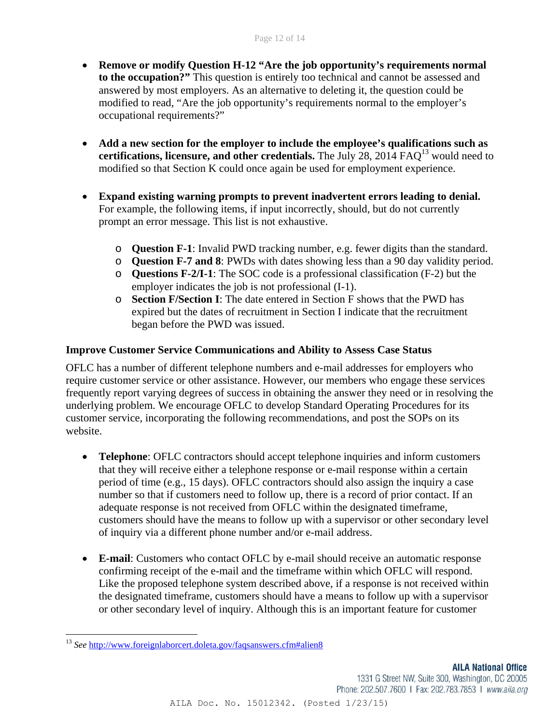- **Remove or modify Question H-12 "Are the job opportunity's requirements normal to the occupation?"** This question is entirely too technical and cannot be assessed and answered by most employers. As an alternative to deleting it, the question could be modified to read, "Are the job opportunity's requirements normal to the employer's occupational requirements?"
- **Add a new section for the employer to include the employee's qualifications such as certifications, licensure, and other credentials.** The July 28, 2014 FAQ<sup>13</sup> would need to modified so that Section K could once again be used for employment experience.
- **Expand existing warning prompts to prevent inadvertent errors leading to denial.** For example, the following items, if input incorrectly, should, but do not currently prompt an error message. This list is not exhaustive.
	- o **Question F-1**: Invalid PWD tracking number, e.g. fewer digits than the standard.
	- o **Question F-7 and 8**: PWDs with dates showing less than a 90 day validity period.
	- o **Questions F-2/I-1**: The SOC code is a professional classification (F-2) but the employer indicates the job is not professional (I-1).
	- o **Section F/Section I**: The date entered in Section F shows that the PWD has expired but the dates of recruitment in Section I indicate that the recruitment began before the PWD was issued.

# **Improve Customer Service Communications and Ability to Assess Case Status**

OFLC has a number of different telephone numbers and e-mail addresses for employers who require customer service or other assistance. However, our members who engage these services frequently report varying degrees of success in obtaining the answer they need or in resolving the underlying problem. We encourage OFLC to develop Standard Operating Procedures for its customer service, incorporating the following recommendations, and post the SOPs on its website.

- **Telephone**: OFLC contractors should accept telephone inquiries and inform customers that they will receive either a telephone response or e-mail response within a certain period of time (e.g., 15 days). OFLC contractors should also assign the inquiry a case number so that if customers need to follow up, there is a record of prior contact. If an adequate response is not received from OFLC within the designated timeframe, customers should have the means to follow up with a supervisor or other secondary level of inquiry via a different phone number and/or e-mail address.
- **E-mail**: Customers who contact OFLC by e-mail should receive an automatic response confirming receipt of the e-mail and the timeframe within which OFLC will respond. Like the proposed telephone system described above, if a response is not received within the designated timeframe, customers should have a means to follow up with a supervisor or other secondary level of inquiry. Although this is an important feature for customer

1331 G Street NW, Suite 300, Washington, DC 20005 Phone: 202.507.7600 | Fax: 202.783.7853 | www.aila.org

AILA Doc. No. 15012342. (Posted 1/23/15)

 <sup>13</sup> *See* http://www.foreignlaborcert.doleta.gov/faqsanswers.cfm#alien8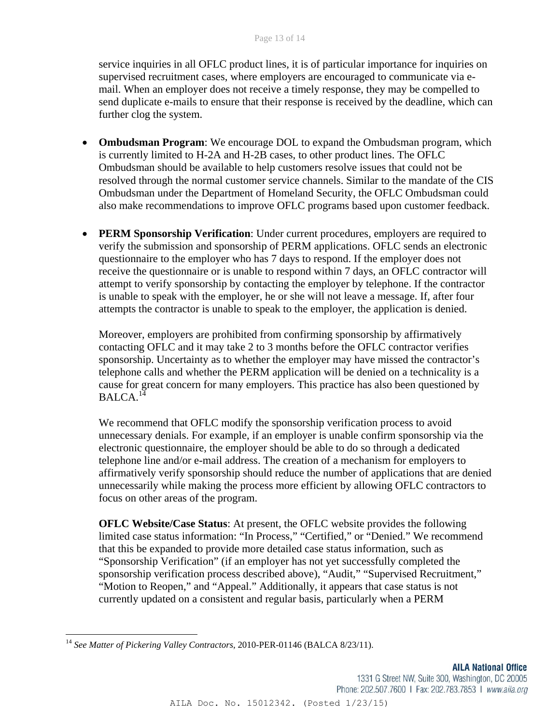service inquiries in all OFLC product lines, it is of particular importance for inquiries on supervised recruitment cases, where employers are encouraged to communicate via email. When an employer does not receive a timely response, they may be compelled to send duplicate e-mails to ensure that their response is received by the deadline, which can further clog the system.

- **Ombudsman Program**: We encourage DOL to expand the Ombudsman program, which is currently limited to H-2A and H-2B cases, to other product lines. The OFLC Ombudsman should be available to help customers resolve issues that could not be resolved through the normal customer service channels. Similar to the mandate of the CIS Ombudsman under the Department of Homeland Security, the OFLC Ombudsman could also make recommendations to improve OFLC programs based upon customer feedback.
- **PERM Sponsorship Verification**: Under current procedures, employers are required to verify the submission and sponsorship of PERM applications. OFLC sends an electronic questionnaire to the employer who has 7 days to respond. If the employer does not receive the questionnaire or is unable to respond within 7 days, an OFLC contractor will attempt to verify sponsorship by contacting the employer by telephone. If the contractor is unable to speak with the employer, he or she will not leave a message. If, after four attempts the contractor is unable to speak to the employer, the application is denied.

Moreover, employers are prohibited from confirming sponsorship by affirmatively contacting OFLC and it may take 2 to 3 months before the OFLC contractor verifies sponsorship. Uncertainty as to whether the employer may have missed the contractor's telephone calls and whether the PERM application will be denied on a technicality is a cause for great concern for many employers. This practice has also been questioned by  $BALCA.<sup>14</sup>$ 

We recommend that OFLC modify the sponsorship verification process to avoid unnecessary denials. For example, if an employer is unable confirm sponsorship via the electronic questionnaire, the employer should be able to do so through a dedicated telephone line and/or e-mail address. The creation of a mechanism for employers to affirmatively verify sponsorship should reduce the number of applications that are denied unnecessarily while making the process more efficient by allowing OFLC contractors to focus on other areas of the program.

**OFLC Website/Case Status**: At present, the OFLC website provides the following limited case status information: "In Process," "Certified," or "Denied." We recommend that this be expanded to provide more detailed case status information, such as "Sponsorship Verification" (if an employer has not yet successfully completed the sponsorship verification process described above), "Audit," "Supervised Recruitment," "Motion to Reopen," and "Appeal." Additionally, it appears that case status is not currently updated on a consistent and regular basis, particularly when a PERM

1331 G Street NW, Suite 300, Washington, DC 20005 Phone: 202.507.7600 | Fax: 202.783.7853 | www.aila.org

AILA Doc. No. 15012342. (Posted 1/23/15)

 <sup>14</sup> *See Matter of Pickering Valley Contractors*, 2010-PER-01146 (BALCA 8/23/11).